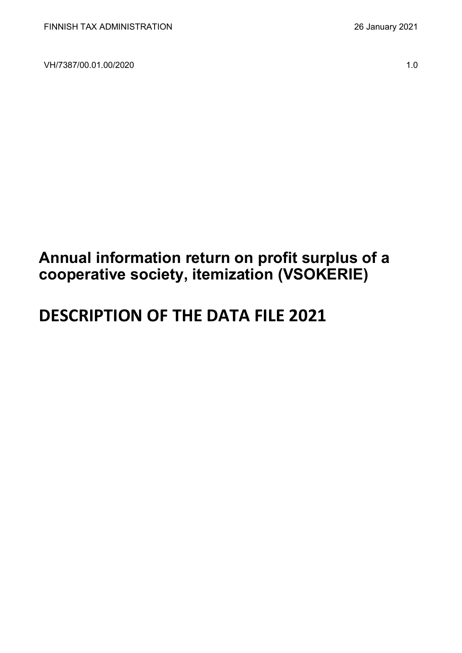VH/7387/00.01.00/2020 1.0

## **Annual information return on profit surplus of a cooperative society, itemization (VSOKERIE)**

# **DESCRIPTION OF THE DATA FILE 2021**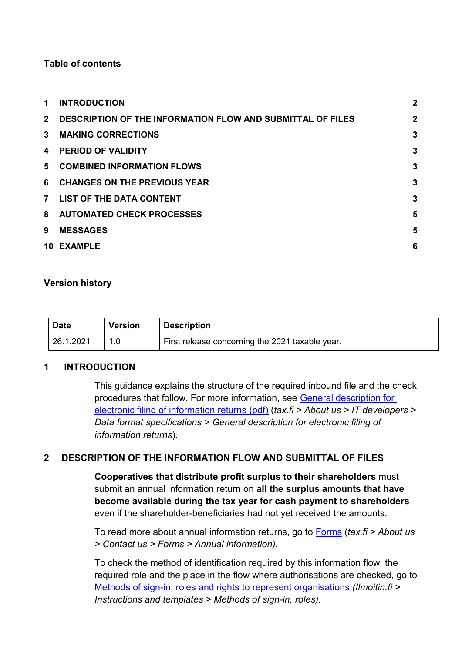#### **Table of contents**

| 1.             | <b>INTRODUCTION</b>                                               | $\overline{2}$ |
|----------------|-------------------------------------------------------------------|----------------|
| $2^{\circ}$    | <b>DESCRIPTION OF THE INFORMATION FLOW AND SUBMITTAL OF FILES</b> | $\overline{2}$ |
| $\mathbf{3}$   | <b>MAKING CORRECTIONS</b>                                         | $\mathbf{3}$   |
| 4              | <b>PERIOD OF VALIDITY</b>                                         | 3              |
|                | 5 COMBINED INFORMATION FLOWS                                      | 3              |
| 6              | <b>CHANGES ON THE PREVIOUS YEAR</b>                               | 3              |
| 7 <sup>7</sup> | <b>LIST OF THE DATA CONTENT</b>                                   | 3              |
|                | 8 AUTOMATED CHECK PROCESSES                                       | 5              |
| 9              | <b>MESSAGES</b>                                                   | 5              |
|                | 10 EXAMPLE                                                        | 6              |

#### **Version history**

| <b>Date</b> | <b>Version</b> | <b>Description</b>                              |
|-------------|----------------|-------------------------------------------------|
| 26.1.2021   |                | First release concerning the 2021 taxable year. |

#### <span id="page-1-0"></span>**1 INTRODUCTION**

This guidance explains the structure of the required inbound file and the check procedures that follow. For more information, see [General description for](https://www.vero.fi/globalassets/tietoa-verohallinnosta/ohjelmistokehittajille/finnish-tax-administration_electronic-filing-of-information-returns-general-description.pdf)  [electronic filing of information returns \(pdf\)](https://www.vero.fi/globalassets/tietoa-verohallinnosta/ohjelmistokehittajille/finnish-tax-administration_electronic-filing-of-information-returns-general-description.pdf) (*tax.fi > About us > IT developers > Data format specifications > General description for electronic filing of information returns*).

#### <span id="page-1-1"></span>**2 DESCRIPTION OF THE INFORMATION FLOW AND SUBMITTAL OF FILES**

**Cooperatives that distribute profit surplus to their shareholders** must submit an annual information return on **all the surplus amounts that have become available during the tax year for cash payment to shareholders**, even if the shareholder-beneficiaries had not yet received the amounts.

To read more about annual information returns, go to [Forms](https://www.vero.fi/en/About-us/contact-us/forms/) (*tax.fi > About us > Contact us > Forms > Annual information).*

To check the method of identification required by this information flow, the required role and the place in the flow where authorisations are checked, go to [Methods of sign-in, roles and rights to represent organisations](https://www.ilmoitin.fi/webtamo/sivut/IlmoituslajiRoolit?kieli=en&tv=VSOKERIE) *[\(Ilmoitin.fi >](https://www.ilmoitin.fi/webtamo/sivut/IlmoituslajiRoolit?tv=VSY02C)  [Instructions and templates > Methods of sign-in, roles\)](https://www.ilmoitin.fi/webtamo/sivut/IlmoituslajiRoolit?tv=VSY02C).*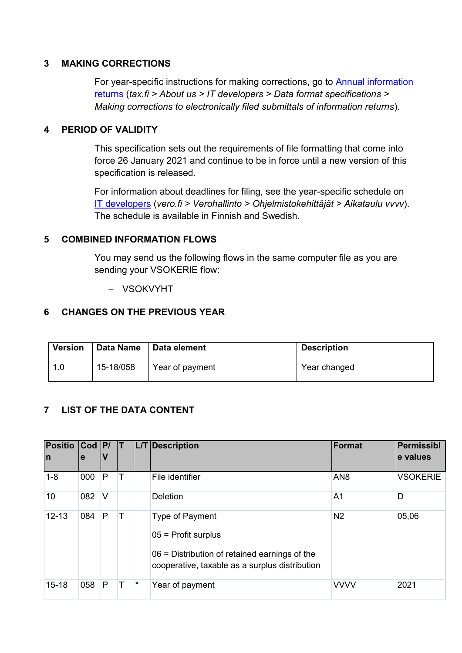#### <span id="page-2-0"></span>**3 MAKING CORRECTIONS**

For year-specific instructions for making corrections, go to [Annual information](https://www.vero.fi/en/About-us/it_developer/data-format-specifications/annual_information_returns__instruction/)  [returns](https://www.vero.fi/en/About-us/it_developer/data-format-specifications/annual_information_returns__instruction/) (*tax.fi > About us > IT developers > Data format specifications > Making corrections to electronically filed submittals of information returns*).

#### <span id="page-2-1"></span>**4 PERIOD OF VALIDITY**

This specification sets out the requirements of file formatting that come into force 26 January 2021 and continue to be in force until a new version of this specification is released.

For information about deadlines for filing, see the year-specific schedule on [IT developers](https://www.vero.fi/tietoa-verohallinnosta/kehittaja/) (*vero.fi > Verohallinto > Ohjelmistokehittäjät > Aikataulu vvvv*). The schedule is available in Finnish and Swedish.

#### <span id="page-2-2"></span>**5 COMBINED INFORMATION FLOWS**

You may send us the following flows in the same computer file as you are sending your VSOKERIE flow:

- VSOKVYHT

#### <span id="page-2-3"></span>**6 CHANGES ON THE PREVIOUS YEAR**

| <b>Version</b> |           | Data Name   Data element | <b>Description</b> |
|----------------|-----------|--------------------------|--------------------|
| 1.0            | 15-18/058 | Year of payment          | Year changed       |

#### <span id="page-2-4"></span>**7 LIST OF THE DATA CONTENT**

| Positio Cod P/<br>In | e   | V      | Т |         | L/T Description                                                                                                                                    | Format          | Permissibl<br>e values |
|----------------------|-----|--------|---|---------|----------------------------------------------------------------------------------------------------------------------------------------------------|-----------------|------------------------|
| $1 - 8$              | 000 | P      | Т |         | File identifier                                                                                                                                    | AN <sub>8</sub> | <b>VSOKERIE</b>        |
| 10                   | 082 | $\vee$ |   |         | Deletion                                                                                                                                           | A <sub>1</sub>  | D                      |
| $12 - 13$            | 084 | P      | Т |         | <b>Type of Payment</b><br>$05$ = Profit surplus<br>06 = Distribution of retained earnings of the<br>cooperative, taxable as a surplus distribution | N <sub>2</sub>  | 05,06                  |
| $15 - 18$            | 058 | P      | Т | $\star$ | Year of payment                                                                                                                                    | <b>VVVV</b>     | 2021                   |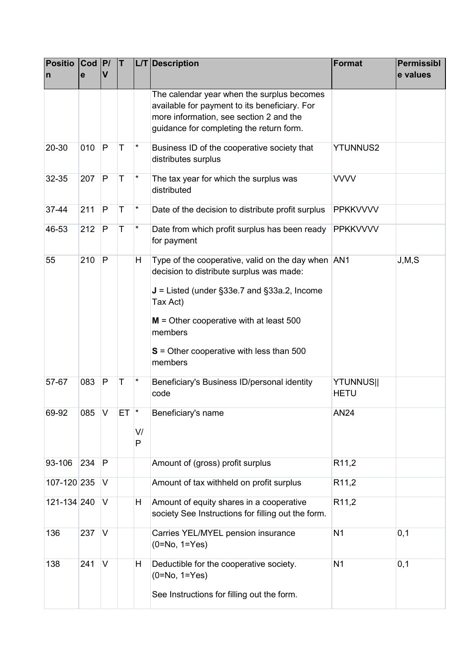| <b>Positio</b><br>n | $\text{Cod}$  P/<br>e | $\mathbf v$  | T   |                          | L/T Description                                                                                                                                                                                                                                                              | Format                          | <b>Permissibl</b><br>e values |
|---------------------|-----------------------|--------------|-----|--------------------------|------------------------------------------------------------------------------------------------------------------------------------------------------------------------------------------------------------------------------------------------------------------------------|---------------------------------|-------------------------------|
|                     |                       |              |     |                          | The calendar year when the surplus becomes<br>available for payment to its beneficiary. For<br>more information, see section 2 and the<br>guidance for completing the return form.                                                                                           |                                 |                               |
| $20 - 30$           | 010                   | $\mathsf{P}$ | T   | $^\star$                 | Business ID of the cooperative society that<br>distributes surplus                                                                                                                                                                                                           | <b>YTUNNUS2</b>                 |                               |
| 32-35               | 207                   | P            | T   | $^\star$                 | The tax year for which the surplus was<br>distributed                                                                                                                                                                                                                        | <b>VVVV</b>                     |                               |
| 37-44               | 211                   | P            | T   | $^\star$                 | Date of the decision to distribute profit surplus                                                                                                                                                                                                                            | <b>PPKKVVVV</b>                 |                               |
| 46-53               | 212                   | P            | T   | $\star$                  | Date from which profit surplus has been ready<br>for payment                                                                                                                                                                                                                 | <b>PPKKVVVV</b>                 |                               |
| 55                  | 210                   | P            |     | H                        | Type of the cooperative, valid on the day when AN1<br>decision to distribute surplus was made:<br>$J =$ Listed (under §33e.7 and §33a.2, Income<br>Tax Act)<br>$M =$ Other cooperative with at least 500<br>members<br>$S =$ Other cooperative with less than 500<br>members |                                 | J, M, S                       |
| 57-67               | 083                   | $\mathsf{P}$ | Τ   | $^\star$                 | Beneficiary's Business ID/personal identity<br>code                                                                                                                                                                                                                          | <b>YTUNNUS  </b><br><b>HETU</b> |                               |
| 69-92               | 085                   | V            | ET. | $\vert \star$<br>V/<br>P | Beneficiary's name                                                                                                                                                                                                                                                           | <b>AN24</b>                     |                               |
| 93-106              | 234                   | P            |     |                          | Amount of (gross) profit surplus                                                                                                                                                                                                                                             | R <sub>11,2</sub>               |                               |
| 107-120 235         |                       | V            |     |                          | Amount of tax withheld on profit surplus                                                                                                                                                                                                                                     | R <sub>11,2</sub>               |                               |
| 121-134 240         |                       | V            |     | H                        | Amount of equity shares in a cooperative<br>society See Instructions for filling out the form.                                                                                                                                                                               | R <sub>11,2</sub>               |                               |
| 136                 | 237                   | V            |     |                          | Carries YEL/MYEL pension insurance<br>$(0=No, 1=Yes)$                                                                                                                                                                                                                        | N <sub>1</sub>                  | 0,1                           |
| 138                 | 241                   | V            |     | H                        | Deductible for the cooperative society.<br>$(0=No, 1=Yes)$<br>See Instructions for filling out the form.                                                                                                                                                                     | N <sub>1</sub>                  | 0,1                           |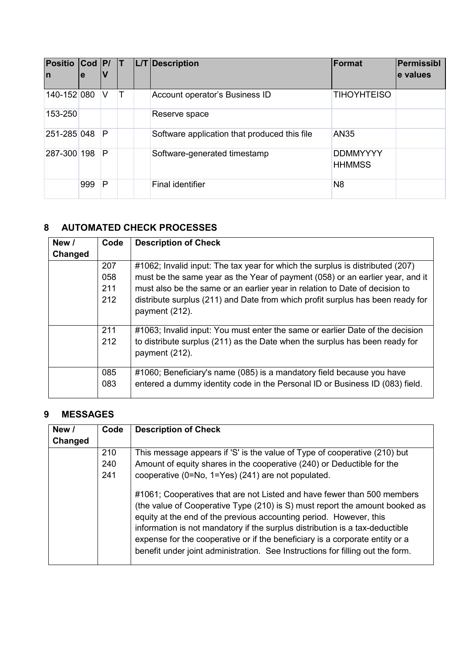| Positio Cod P/ T<br>In | e   | ν |  | L/T Description                              | Format                           | Permissibl<br>le values |
|------------------------|-----|---|--|----------------------------------------------|----------------------------------|-------------------------|
| 140-152 080            |     | V |  | Account operator's Business ID               | <b>TIHOYHTEISO</b>               |                         |
| 153-250                |     |   |  | Reserve space                                |                                  |                         |
| 251-285 048            |     | P |  | Software application that produced this file | <b>AN35</b>                      |                         |
| 287-300 198            |     | P |  | Software-generated timestamp                 | <b>DDMMYYYY</b><br><b>HHMMSS</b> |                         |
|                        | 999 | P |  | Final identifier                             | N8                               |                         |

## <span id="page-4-0"></span>**8 AUTOMATED CHECK PROCESSES**

| New /   | Code | <b>Description of Check</b>                                                                      |
|---------|------|--------------------------------------------------------------------------------------------------|
| Changed |      |                                                                                                  |
|         | 207  | #1062; Invalid input: The tax year for which the surplus is distributed (207)                    |
|         | 058  | must be the same year as the Year of payment (058) or an earlier year, and it                    |
|         | 211  | must also be the same or an earlier year in relation to Date of decision to                      |
|         | 212  | distribute surplus (211) and Date from which profit surplus has been ready for<br>payment (212). |
|         | 211  | #1063; Invalid input: You must enter the same or earlier Date of the decision                    |
|         | 212  | to distribute surplus (211) as the Date when the surplus has been ready for<br>payment (212).    |
|         | 085  | #1060; Beneficiary's name (085) is a mandatory field because you have                            |
|         | 083  | entered a dummy identity code in the Personal ID or Business ID (083) field.                     |

### <span id="page-4-1"></span>**9 MESSAGES**

| New /   | Code | <b>Description of Check</b>                                                                                                                                                                                                                                                                                                                                                                                                                                                    |
|---------|------|--------------------------------------------------------------------------------------------------------------------------------------------------------------------------------------------------------------------------------------------------------------------------------------------------------------------------------------------------------------------------------------------------------------------------------------------------------------------------------|
| Changed |      |                                                                                                                                                                                                                                                                                                                                                                                                                                                                                |
|         | 210  | This message appears if 'S' is the value of Type of cooperative (210) but                                                                                                                                                                                                                                                                                                                                                                                                      |
|         | 240  | Amount of equity shares in the cooperative (240) or Deductible for the                                                                                                                                                                                                                                                                                                                                                                                                         |
|         | 241  | cooperative (0=No, 1=Yes) (241) are not populated.                                                                                                                                                                                                                                                                                                                                                                                                                             |
|         |      | #1061; Cooperatives that are not Listed and have fewer than 500 members<br>(the value of Cooperative Type (210) is S) must report the amount booked as<br>equity at the end of the previous accounting period. However, this<br>information is not mandatory if the surplus distribution is a tax-deductible<br>expense for the cooperative or if the beneficiary is a corporate entity or a<br>benefit under joint administration. See Instructions for filling out the form. |